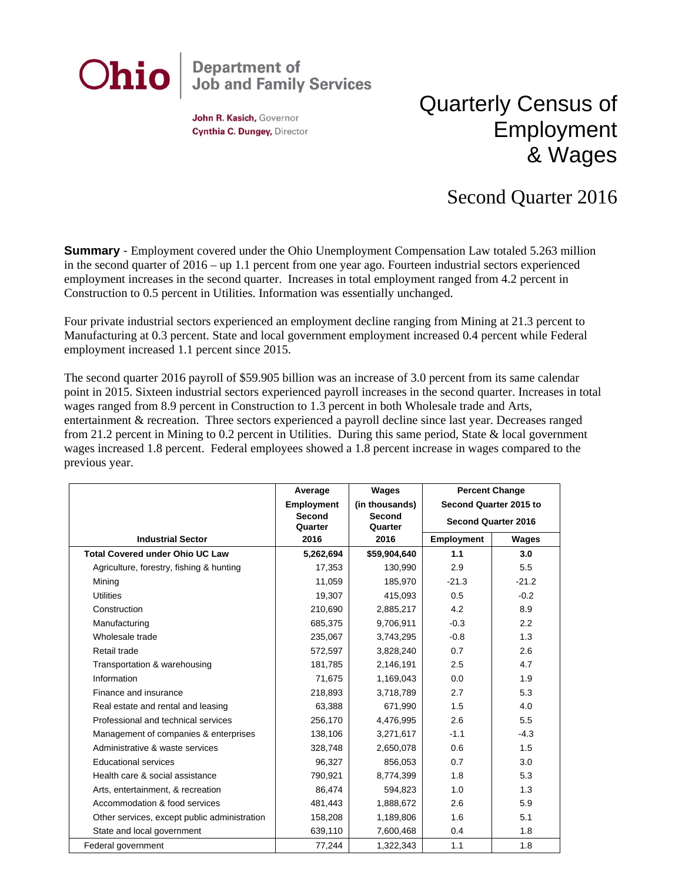

John R. Kasich, Governor Cynthia C. Dungey, Director

## Quarterly Census of Employment & Wages

## Second Quarter 2016

**Summary** - Employment covered under the Ohio Unemployment Compensation Law totaled 5.263 million in the second quarter of 2016 – up 1.1 percent from one year ago. Fourteen industrial sectors experienced employment increases in the second quarter. Increases in total employment ranged from 4.2 percent in Construction to 0.5 percent in Utilities. Information was essentially unchanged.

Four private industrial sectors experienced an employment decline ranging from Mining at 21.3 percent to Manufacturing at 0.3 percent. State and local government employment increased 0.4 percent while Federal employment increased 1.1 percent since 2015.

The second quarter 2016 payroll of \$59.905 billion was an increase of 3.0 percent from its same calendar point in 2015. Sixteen industrial sectors experienced payroll increases in the second quarter. Increases in total wages ranged from 8.9 percent in Construction to 1.3 percent in both Wholesale trade and Arts, entertainment & recreation. Three sectors experienced a payroll decline since last year. Decreases ranged from 21.2 percent in Mining to 0.2 percent in Utilities. During this same period, State & local government wages increased 1.8 percent. Federal employees showed a 1.8 percent increase in wages compared to the previous year.

|                                              | Average                  | Wages             | <b>Percent Change</b><br>Second Quarter 2015 to<br><b>Second Quarter 2016</b> |         |
|----------------------------------------------|--------------------------|-------------------|-------------------------------------------------------------------------------|---------|
|                                              | <b>Employment</b>        | (in thousands)    |                                                                               |         |
|                                              | <b>Second</b><br>Quarter | Second<br>Quarter |                                                                               |         |
| <b>Industrial Sector</b>                     | 2016                     | 2016              | <b>Employment</b>                                                             | Wages   |
| <b>Total Covered under Ohio UC Law</b>       | 5,262,694                | \$59,904,640      | 1.1                                                                           | 3.0     |
| Agriculture, forestry, fishing & hunting     | 17,353                   | 130.990           | 2.9                                                                           | 5.5     |
| Mining                                       | 11,059                   | 185,970           | $-21.3$                                                                       | $-21.2$ |
| <b>Utilities</b>                             | 19,307                   | 415,093           | 0.5                                                                           | $-0.2$  |
| Construction                                 | 210,690                  | 2,885,217         | 4.2                                                                           | 8.9     |
| Manufacturing                                | 685,375                  | 9,706,911         | $-0.3$                                                                        | 2.2     |
| Wholesale trade                              | 235,067                  | 3,743,295         | $-0.8$                                                                        | 1.3     |
| Retail trade                                 | 572,597                  | 3,828,240         | 0.7                                                                           | 2.6     |
| Transportation & warehousing                 | 181,785                  | 2,146,191         | 2.5                                                                           | 4.7     |
| Information                                  | 71,675                   | 1,169,043         | 0.0                                                                           | 1.9     |
| Finance and insurance                        | 218,893                  | 3,718,789         | 2.7                                                                           | 5.3     |
| Real estate and rental and leasing           | 63,388                   | 671,990           | 1.5                                                                           | 4.0     |
| Professional and technical services          | 256,170                  | 4,476,995         | 2.6                                                                           | 5.5     |
| Management of companies & enterprises        | 138,106                  | 3,271,617         | $-1.1$                                                                        | $-4.3$  |
| Administrative & waste services              | 328,748                  | 2,650,078         | 0.6                                                                           | 1.5     |
| <b>Educational services</b>                  | 96,327                   | 856,053           | 0.7                                                                           | 3.0     |
| Health care & social assistance              | 790,921                  | 8,774,399         | 1.8                                                                           | 5.3     |
| Arts, entertainment, & recreation            | 86,474                   | 594,823           | 1.0                                                                           | 1.3     |
| Accommodation & food services                | 481,443                  | 1,888,672         | 2.6                                                                           | 5.9     |
| Other services, except public administration | 158,208                  | 1,189,806         | 1.6                                                                           | 5.1     |
| State and local government                   | 639,110                  | 7,600,468         | 0.4                                                                           | 1.8     |
| Federal government                           | 77.244                   | 1.322.343         | 1.1                                                                           | 1.8     |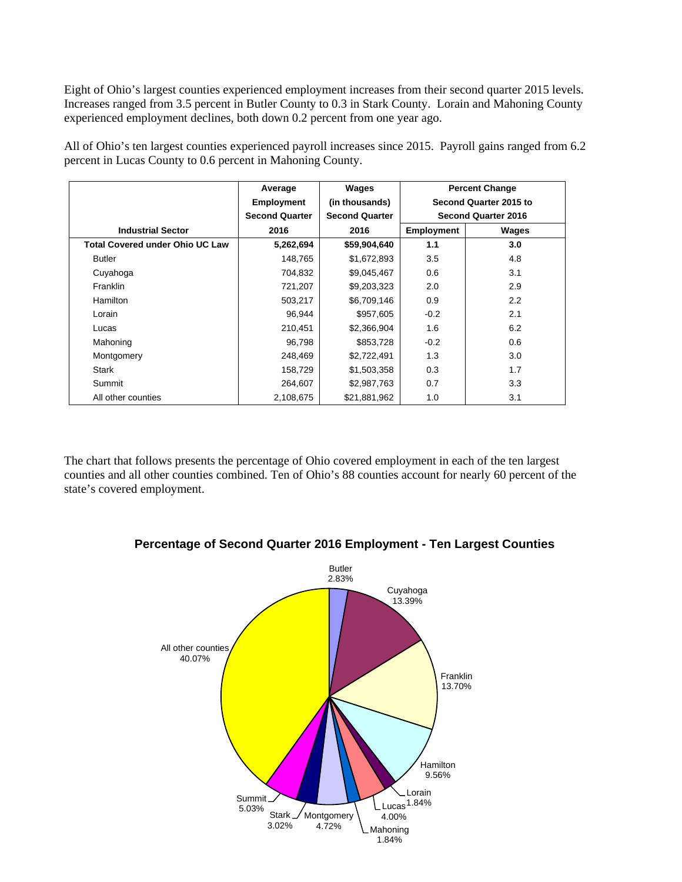Eight of Ohio's largest counties experienced employment increases from their second quarter 2015 levels. Increases ranged from 3.5 percent in Butler County to 0.3 in Stark County. Lorain and Mahoning County experienced employment declines, both down 0.2 percent from one year ago.

|                                        | Average<br><b>Employment</b><br><b>Second Quarter</b> | Wages<br>(in thousands)<br><b>Second Quarter</b> | <b>Percent Change</b><br>Second Quarter 2015 to<br><b>Second Quarter 2016</b> |       |
|----------------------------------------|-------------------------------------------------------|--------------------------------------------------|-------------------------------------------------------------------------------|-------|
| <b>Industrial Sector</b>               | 2016                                                  | 2016                                             | <b>Employment</b>                                                             | Wages |
| <b>Total Covered under Ohio UC Law</b> | 5,262,694                                             | \$59,904,640                                     | 1.1                                                                           | 3.0   |
| Butler                                 | 148,765                                               | \$1,672,893                                      | 3.5                                                                           | 4.8   |
| Cuyahoga                               | 704,832                                               | \$9,045,467                                      | 0.6                                                                           | 3.1   |
| <b>Franklin</b>                        | 721,207                                               | \$9,203,323                                      | 2.0                                                                           | 2.9   |
| <b>Hamilton</b>                        | 503,217                                               | \$6,709,146                                      | 0.9                                                                           | 2.2   |
| Lorain                                 | 96,944                                                | \$957,605                                        | $-0.2$                                                                        | 2.1   |
| Lucas                                  | 210,451                                               | \$2,366,904                                      | 1.6                                                                           | 6.2   |
| Mahoning                               | 96,798                                                | \$853,728                                        | $-0.2$                                                                        | 0.6   |
| Montgomery                             | 248,469                                               | \$2,722,491                                      | 1.3                                                                           | 3.0   |
| Stark                                  | 158,729                                               | \$1,503,358                                      | 0.3                                                                           | 1.7   |
| Summit                                 | 264,607                                               | \$2,987,763                                      | 0.7                                                                           | 3.3   |
| All other counties                     | 2,108,675                                             | \$21,881,962                                     | 1.0                                                                           | 3.1   |

All of Ohio's ten largest counties experienced payroll increases since 2015. Payroll gains ranged from 6.2 percent in Lucas County to 0.6 percent in Mahoning County.

The chart that follows presents the percentage of Ohio covered employment in each of the ten largest counties and all other counties combined. Ten of Ohio's 88 counties account for nearly 60 percent of the state's covered employment.



**Percentage of Second Quarter 2016 Employment - Ten Largest Counties**